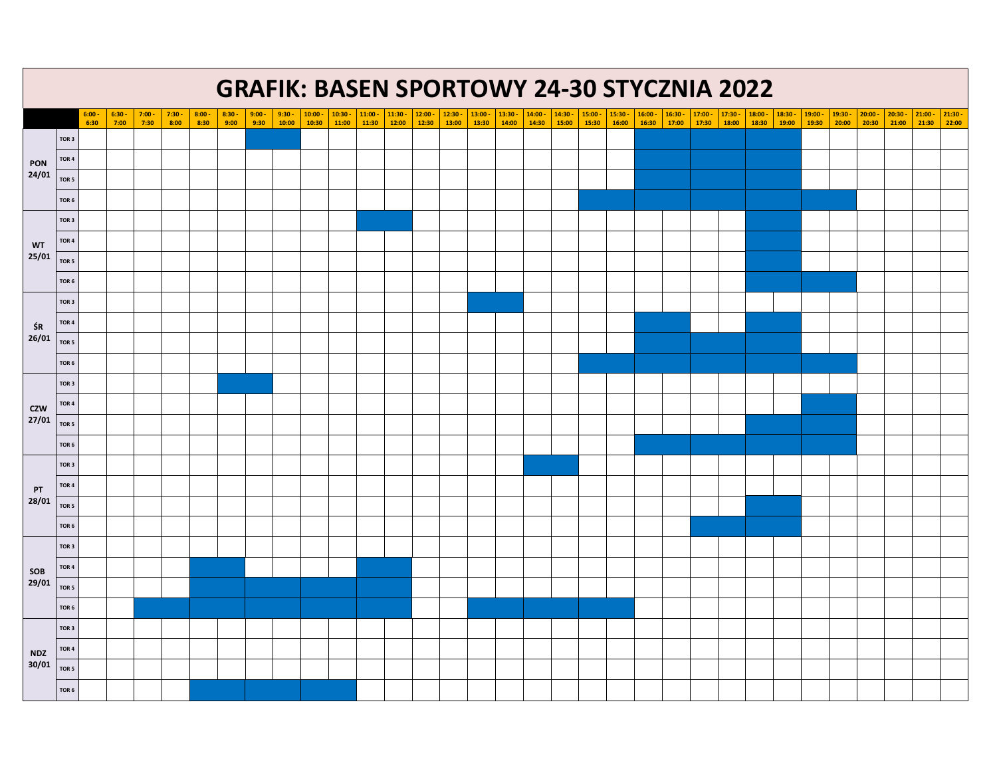